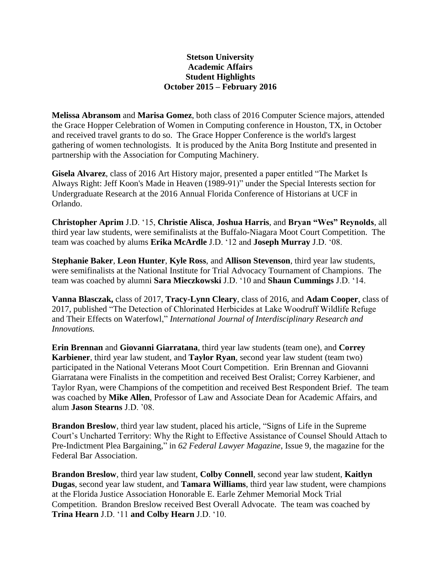## **Stetson University Academic Affairs Student Highlights October 2015 – February 2016**

**Melissa Abransom** and **Marisa Gomez**, both class of 2016 Computer Science majors, attended the Grace Hopper Celebration of Women in Computing conference in Houston, TX, in October and received travel grants to do so. The Grace Hopper Conference is the world's largest gathering of women technologists. It is produced by the Anita Borg Institute and presented in partnership with the Association for Computing Machinery.

**Gisela Alvarez**, class of 2016 Art History major, presented a paper entitled "The Market Is Always Right: Jeff Koon's Made in Heaven (1989-91)" under the Special Interests section for Undergraduate Research at the 2016 Annual Florida Conference of Historians at UCF in Orlando.

**Christopher Aprim** J.D. '15, **Christie Alisca**, **Joshua Harris**, and **Bryan "Wes" Reynolds**, all third year law students, were semifinalists at the Buffalo-Niagara Moot Court Competition. The team was coached by alums **Erika McArdle** J.D. '12 and **Joseph Murray** J.D. '08.

**Stephanie Baker**, **Leon Hunter**, **Kyle Ross**, and **Allison Stevenson**, third year law students, were semifinalists at the National Institute for Trial Advocacy Tournament of Champions. The team was coached by alumni **Sara Mieczkowski** J.D. '10 and **Shaun Cummings** J.D. '14.

**Vanna Blasczak,** class of 2017, **Tracy-Lynn Cleary**, class of 2016, and **Adam Cooper**, class of 2017, published "The Detection of Chlorinated Herbicides at Lake Woodruff Wildlife Refuge and Their Effects on Waterfowl," *International Journal of Interdisciplinary Research and Innovations.*

**Erin Brennan** and **Giovanni Giarratana**, third year law students (team one), and **Correy Karbiener**, third year law student, and **Taylor Ryan**, second year law student (team two) participated in the National Veterans Moot Court Competition. Erin Brennan and Giovanni Giarratana were Finalists in the competition and received Best Oralist; Correy Karbiener, and Taylor Ryan, were Champions of the competition and received Best Respondent Brief. The team was coached by **Mike Allen**, Professor of Law and Associate Dean for Academic Affairs, and alum **Jason Stearns** J.D. '08.

**Brandon Breslow**, third year law student, placed his article, "Signs of Life in the Supreme Court's Uncharted Territory: Why the Right to Effective Assistance of Counsel Should Attach to Pre-Indictment Plea Bargaining," in *62 Federal Lawyer Magazine*, Issue 9, the magazine for the Federal Bar Association.

**Brandon Breslow**, third year law student, **Colby Connell**, second year law student, **Kaitlyn Dugas**, second year law student, and **Tamara Williams**, third year law student, were champions at the Florida Justice Association Honorable E. Earle Zehmer Memorial Mock Trial Competition. Brandon Breslow received Best Overall Advocate. The team was coached by **Trina Hearn** J.D. '11 **and Colby Hearn** J.D. '10.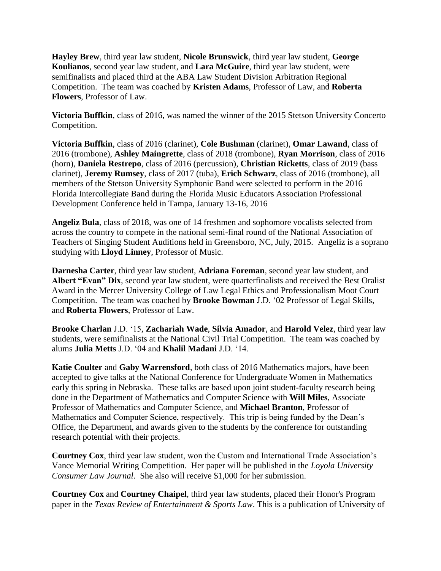**Hayley Brew**, third year law student, **Nicole Brunswick**, third year law student, **George Koulianos**, second year law student, and **Lara McGuire**, third year law student, were semifinalists and placed third at the ABA Law Student Division Arbitration Regional Competition. The team was coached by **Kristen Adams**, Professor of Law, and **Roberta Flowers**, Professor of Law.

**Victoria Buffkin**, class of 2016, was named the winner of the 2015 Stetson University Concerto Competition.

**Victoria Buffkin**, class of 2016 (clarinet), **Cole Bushman** (clarinet), **Omar Lawand**, class of 2016 (trombone), **Ashley Maingrette**, class of 2018 (trombone), **Ryan Morrison**, class of 2016 (horn), **Daniela Restrepo**, class of 2016 (percussion), **Christian Ricketts**, class of 2019 (bass clarinet), **Jeremy Rumsey**, class of 2017 (tuba), **Erich Schwarz**, class of 2016 (trombone), all members of the Stetson University Symphonic Band were selected to perform in the 2016 Florida Intercollegiate Band during the Florida Music Educators Association Professional Development Conference held in Tampa, January 13-16, 2016

**Angeliz Bula**, class of 2018, was one of 14 freshmen and sophomore vocalists selected from across the country to compete in the national semi-final round of the National Association of Teachers of Singing Student Auditions held in Greensboro, NC, July, 2015. Angeliz is a soprano studying with **Lloyd Linney**, Professor of Music.

**Darnesha Carter**, third year law student, **Adriana Foreman**, second year law student, and **Albert "Evan" Dix**, second year law student, were quarterfinalists and received the Best Oralist Award in the Mercer University College of Law Legal Ethics and Professionalism Moot Court Competition. The team was coached by **Brooke Bowman** J.D. '02 Professor of Legal Skills, and **Roberta Flowers**, Professor of Law.

**Brooke Charlan** J.D. '15, **Zachariah Wade**, **Silvia Amador**, and **Harold Velez**, third year law students, were semifinalists at the National Civil Trial Competition. The team was coached by alums **Julia Metts** J.D. '04 and **Khalil Madani** J.D. '14.

**Katie Coulter** and **Gaby Warrensford**, both class of 2016 Mathematics majors, have been accepted to give talks at the National Conference for Undergraduate Women in Mathematics early this spring in Nebraska. These talks are based upon joint student-faculty research being done in the Department of Mathematics and Computer Science with **Will Miles**, Associate Professor of Mathematics and Computer Science, and **Michael Branton**, Professor of Mathematics and Computer Science, respectively. This trip is being funded by the Dean's Office, the Department, and awards given to the students by the conference for outstanding research potential with their projects.

**Courtney Cox**, third year law student, won the Custom and International Trade Association's Vance Memorial Writing Competition. Her paper will be published in the *Loyola University Consumer Law Journal*. She also will receive \$1,000 for her submission.

**Courtney Cox** and **Courtney Chaipel**, third year law students, placed their Honor's Program paper in the *Texas Review of Entertainment & Sports Law*. This is a publication of University of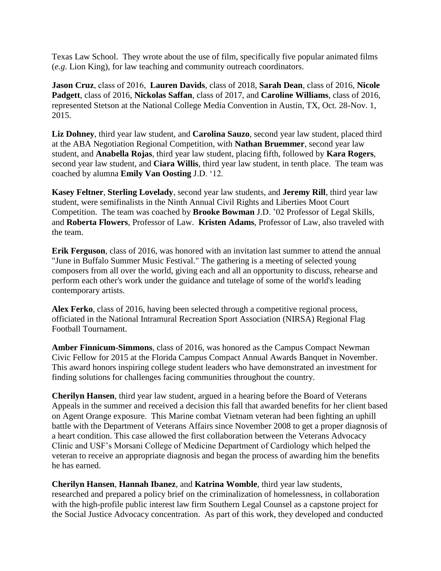Texas Law School. They wrote about the use of film, specifically five popular animated films (*e.g*. Lion King), for law teaching and community outreach coordinators.

**Jason Cruz**, class of 2016, **Lauren Davids**, class of 2018, **Sarah Dean**, class of 2016, **Nicole Padgett**, class of 2016, **Nickolas Saffan**, class of 2017, and **Caroline Williams**, class of 2016, represented Stetson at the National College Media Convention in Austin, TX, Oct. 28-Nov. 1, 2015.

**Liz Dohney**, third year law student, and **Carolina Sauzo**, second year law student, placed third at the ABA Negotiation Regional Competition, with **Nathan Bruemmer**, second year law student, and **Anabella Rojas**, third year law student, placing fifth, followed by **Kara Rogers**, second year law student, and **Ciara Willis**, third year law student, in tenth place. The team was coached by alumna **Emily Van Oosting** J.D. '12.

**Kasey Feltner**, **Sterling Lovelady**, second year law students, and **Jeremy Rill**, third year law student, were semifinalists in the Ninth Annual Civil Rights and Liberties Moot Court Competition. The team was coached by **Brooke Bowman** J.D. '02 Professor of Legal Skills, and **Roberta Flowers**, Professor of Law. **Kristen Adams**, Professor of Law, also traveled with the team.

**Erik Ferguson**, class of 2016, was honored with an invitation last summer to attend the annual "June in Buffalo Summer Music Festival." The gathering is a meeting of selected young composers from all over the world, giving each and all an opportunity to discuss, rehearse and perform each other's work under the guidance and tutelage of some of the world's leading contemporary artists.

**Alex Ferko**, class of 2016, having been selected through a competitive regional process, officiated in the National Intramural Recreation Sport Association (NIRSA) Regional Flag Football Tournament.

**Amber Finnicum-Simmons**, class of 2016, was honored as the Campus Compact Newman Civic Fellow for 2015 at the Florida Campus Compact Annual Awards Banquet in November. This award honors inspiring college student leaders who have demonstrated an investment for finding solutions for challenges facing communities throughout the country.

**Cherilyn Hansen**, third year law student, argued in a hearing before the Board of Veterans Appeals in the summer and received a decision this fall that awarded benefits for her client based on Agent Orange exposure. This Marine combat Vietnam veteran had been fighting an uphill battle with the Department of Veterans Affairs since November 2008 to get a proper diagnosis of a heart condition. This case allowed the first collaboration between the Veterans Advocacy Clinic and USF's Morsani College of Medicine Department of Cardiology which helped the veteran to receive an appropriate diagnosis and began the process of awarding him the benefits he has earned.

**Cherilyn Hansen**, **Hannah Ibanez**, and **Katrina Womble**, third year law students, researched and prepared a policy brief on the criminalization of homelessness, in collaboration with the high-profile public interest law firm Southern Legal Counsel as a capstone project for the Social Justice Advocacy concentration. As part of this work, they developed and conducted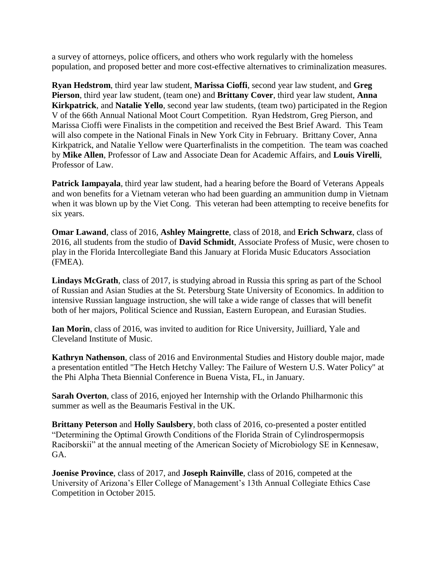a survey of attorneys, police officers, and others who work regularly with the homeless population, and proposed better and more cost-effective alternatives to criminalization measures.

**Ryan Hedstrom**, third year law student, **Marissa Cioffi**, second year law student, and **Greg Pierson**, third year law student, (team one) and **Brittany Cover**, third year law student, **Anna Kirkpatrick**, and **Natalie Yello**, second year law students, (team two) participated in the Region V of the 66th Annual National Moot Court Competition. Ryan Hedstrom, Greg Pierson, and Marissa Cioffi were Finalists in the competition and received the Best Brief Award. This Team will also compete in the National Finals in New York City in February. Brittany Cover, Anna Kirkpatrick, and Natalie Yellow were Quarterfinalists in the competition. The team was coached by **Mike Allen**, Professor of Law and Associate Dean for Academic Affairs, and **Louis Virelli**, Professor of Law.

**Patrick Iampayala**, third year law student, had a hearing before the Board of Veterans Appeals and won benefits for a Vietnam veteran who had been guarding an ammunition dump in Vietnam when it was blown up by the Viet Cong. This veteran had been attempting to receive benefits for six years.

**Omar Lawand**, class of 2016, **Ashley Maingrette**, class of 2018, and **Erich Schwarz**, class of 2016, all students from the studio of **David Schmidt**, Associate Profess of Music, were chosen to play in the Florida Intercollegiate Band this January at Florida Music Educators Association (FMEA).

**Lindays McGrath**, class of 2017, is studying abroad in Russia this spring as part of the School of Russian and Asian Studies at the St. Petersburg State University of Economics. In addition to intensive Russian language instruction, she will take a wide range of classes that will benefit both of her majors, Political Science and Russian, Eastern European, and Eurasian Studies.

**Ian Morin**, class of 2016, was invited to audition for Rice University, Juilliard, Yale and Cleveland Institute of Music.

**Kathryn Nathenson**, class of 2016 and Environmental Studies and History double major, made a presentation entitled "The Hetch Hetchy Valley: The Failure of Western U.S. Water Policy" at the Phi Alpha Theta Biennial Conference in Buena Vista, FL, in January.

**Sarah Overton**, class of 2016, enjoyed her Internship with the Orlando Philharmonic this summer as well as the Beaumaris Festival in the UK.

**Brittany Peterson** and **Holly Saulsbery**, both class of 2016, co-presented a poster entitled "Determining the Optimal Growth Conditions of the Florida Strain of Cylindrospermopsis Raciborskii" at the annual meeting of the American Society of Microbiology SE in Kennesaw, GA.

**Joenise Province**, class of 2017, and **Joseph Rainville**, class of 2016, competed at the University of Arizona's Eller College of Management's 13th Annual Collegiate Ethics Case Competition in October 2015.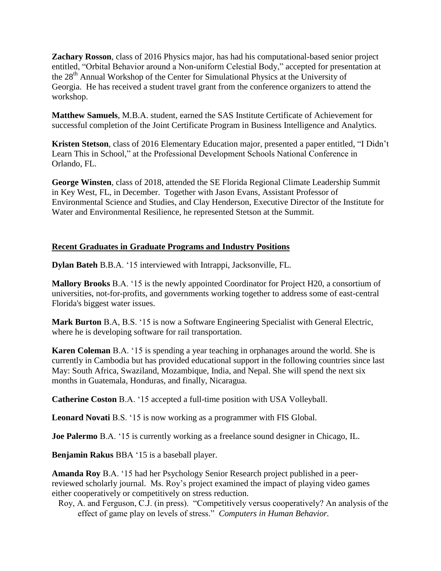**Zachary Rosson**, class of 2016 Physics major, has had his computational-based senior project entitled, "Orbital Behavior around a Non-uniform Celestial Body," accepted for presentation at the 28th Annual Workshop of the Center for Simulational Physics at the University of Georgia. He has received a student travel grant from the conference organizers to attend the workshop.

**Matthew Samuels**, M.B.A. student, earned the SAS Institute Certificate of Achievement for successful completion of the Joint Certificate Program in Business Intelligence and Analytics.

**Kristen Stetson**, class of 2016 Elementary Education major, presented a paper entitled, "I Didn't Learn This in School," at the Professional Development Schools National Conference in Orlando, FL.

**George Winsten**, class of 2018, attended the SE Florida Regional Climate Leadership Summit in Key West, FL, in December. Together with Jason Evans, Assistant Professor of Environmental Science and Studies, and Clay Henderson, Executive Director of the Institute for Water and Environmental Resilience, he represented Stetson at the Summit.

## **Recent Graduates in Graduate Programs and Industry Positions**

**Dylan Bateh** B.B.A. '15 interviewed with Intrappi, Jacksonville, FL.

**Mallory Brooks** B.A. '15 is the newly appointed Coordinator for Project H20, a consortium of universities, not-for-profits, and governments working together to address some of east-central Florida's biggest water issues.

**Mark Burton** B.A, B.S. '15 is now a Software Engineering Specialist with General Electric, where he is developing software for rail transportation.

**Karen Coleman** B.A. '15 is spending a year teaching in orphanages around the world. She is currently in Cambodia but has provided educational support in the following countries since last May: South Africa, Swaziland, Mozambique, India, and Nepal. She will spend the next six months in Guatemala, Honduras, and finally, Nicaragua.

**Catherine Coston** B.A. '15 accepted a full-time position with USA Volleyball.

**Leonard Novati** B.S. '15 is now working as a programmer with FIS Global.

**Joe Palermo** B.A. '15 is currently working as a freelance sound designer in Chicago, IL.

**Benjamin Rakus** BBA '15 is a baseball player.

**Amanda Roy** B.A. '15 had her Psychology Senior Research project published in a peerreviewed scholarly journal. Ms. Roy's project examined the impact of playing video games either cooperatively or competitively on stress reduction.

Roy, A. and Ferguson, C.J. (in press). "Competitively versus cooperatively? An analysis of the effect of game play on levels of stress." *Computers in Human Behavior.*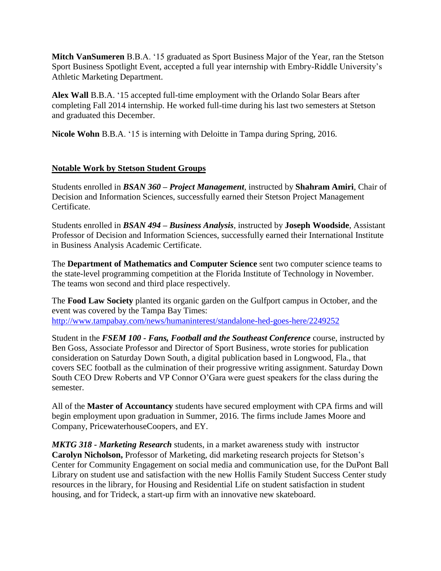**Mitch VanSumeren** B.B.A. '15 graduated as Sport Business Major of the Year, ran the Stetson Sport Business Spotlight Event, accepted a full year internship with Embry-Riddle University's Athletic Marketing Department.

**Alex Wall** B.B.A. '15 accepted full-time employment with the Orlando Solar Bears after completing Fall 2014 internship. He worked full-time during his last two semesters at Stetson and graduated this December.

**Nicole Wohn** B.B.A. '15 is interning with Deloitte in Tampa during Spring, 2016.

## **Notable Work by Stetson Student Groups**

Students enrolled in *BSAN 360 – Project Management*, instructed by **Shahram Amiri**, Chair of Decision and Information Sciences, successfully earned their Stetson Project Management Certificate.

Students enrolled in *BSAN 494 – Business Analysis*, instructed by **Joseph Woodside**, Assistant Professor of Decision and Information Sciences, successfully earned their International Institute in Business Analysis Academic Certificate.

The **Department of Mathematics and Computer Science** sent two computer science teams to the state-level programming competition at the Florida Institute of Technology in November. The teams won second and third place respectively.

The **Food Law Society** planted its organic garden on the Gulfport campus in October, and the event was covered by the Tampa Bay Times: [http://www.tampabay.com/news/humaninterest/standalone-hed-goes-here/2249252](https://outlook.law.stetson.edu/owa/redir.aspx?C=R7oid7P1gkCNuYNNAI-jFYScDwbHGdMI1-RN1trMj6bDI-nwNjEYa1v9wSAvTH5EMVvTqh6TN30.&URL=http%3a%2f%2fwww.tampabay.com%2fnews%2fhumaninterest%2fstandalone-hed-goes-here%2f2249252)

Student in the *FSEM 100 - Fans, Football and the Southeast Conference* course, instructed by Ben Goss, Associate Professor and Director of Sport Business, wrote stories for publication consideration on Saturday Down South, a digital publication based in Longwood, Fla., that covers SEC football as the culmination of their progressive writing assignment. Saturday Down South CEO Drew Roberts and VP Connor O'Gara were guest speakers for the class during the semester.

All of the **Master of Accountancy** students have secured employment with CPA firms and will begin employment upon graduation in Summer, 2016. The firms include James Moore and Company, PricewaterhouseCoopers, and EY.

*MKTG 318 - Marketing Research* students, in a market awareness study with instructor **Carolyn Nicholson,** Professor of Marketing, did marketing research projects for Stetson's Center for Community Engagement on social media and communication use, for the DuPont Ball Library on student use and satisfaction with the new Hollis Family Student Success Center study resources in the library, for Housing and Residential Life on student satisfaction in student housing, and for Trideck, a start-up firm with an innovative new skateboard.